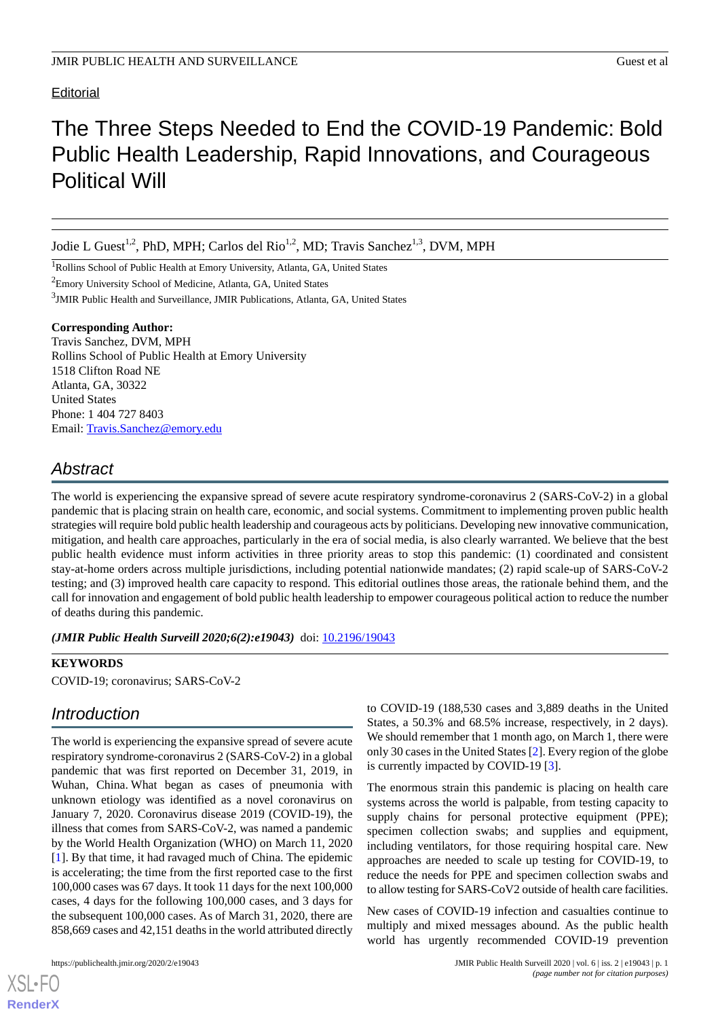### **Editorial**

# The Three Steps Needed to End the COVID-19 Pandemic: Bold Public Health Leadership, Rapid Innovations, and Courageous Political Will

Jodie L Guest<sup>1,2</sup>, PhD, MPH; Carlos del Rio<sup>1,2</sup>, MD; Travis Sanchez<sup>1,3</sup>, DVM, MPH

<sup>1</sup>Rollins School of Public Health at Emory University, Atlanta, GA, United States

<sup>2</sup>Emory University School of Medicine, Atlanta, GA, United States

<sup>3</sup>JMIR Public Health and Surveillance, JMIR Publications, Atlanta, GA, United States

#### **Corresponding Author:**

Travis Sanchez, DVM, MPH Rollins School of Public Health at Emory University 1518 Clifton Road NE Atlanta, GA, 30322 United States Phone: 1 404 727 8403 Email: [Travis.Sanchez@emory.edu](mailto:Travis.Sanchez@emory.edu)

# *Abstract*

The world is experiencing the expansive spread of severe acute respiratory syndrome-coronavirus 2 (SARS-CoV-2) in a global pandemic that is placing strain on health care, economic, and social systems. Commitment to implementing proven public health strategies will require bold public health leadership and courageous acts by politicians. Developing new innovative communication, mitigation, and health care approaches, particularly in the era of social media, is also clearly warranted. We believe that the best public health evidence must inform activities in three priority areas to stop this pandemic: (1) coordinated and consistent stay-at-home orders across multiple jurisdictions, including potential nationwide mandates; (2) rapid scale-up of SARS-CoV-2 testing; and (3) improved health care capacity to respond. This editorial outlines those areas, the rationale behind them, and the call for innovation and engagement of bold public health leadership to empower courageous political action to reduce the number of deaths during this pandemic.

*(JMIR Public Health Surveill 2020;6(2):e19043)* doi:  $10.2196/19043$ 

#### **KEYWORDS**

COVID-19; coronavirus; SARS-CoV-2

### *Introduction*

The world is experiencing the expansive spread of severe acute respiratory syndrome-coronavirus 2 (SARS-CoV-2) in a global pandemic that was first reported on December 31, 2019, in Wuhan, China. What began as cases of pneumonia with unknown etiology was identified as a novel coronavirus on January 7, 2020. Coronavirus disease 2019 (COVID-19), the illness that comes from SARS-CoV-2, was named a pandemic by the World Health Organization (WHO) on March 11, 2020 [[1\]](#page-2-0). By that time, it had ravaged much of China. The epidemic is accelerating; the time from the first reported case to the first 100,000 cases was 67 days. It took 11 days for the next 100,000 cases, 4 days for the following 100,000 cases, and 3 days for the subsequent 100,000 cases. As of March 31, 2020, there are 858,669 cases and 42,151 deaths in the world attributed directly

[XSL](http://www.w3.org/Style/XSL)•FO **[RenderX](http://www.renderx.com/)**

to COVID-19 (188,530 cases and 3,889 deaths in the United States, a 50.3% and 68.5% increase, respectively, in 2 days). We should remember that 1 month ago, on March 1, there were only 30 cases in the United States [\[2](#page-2-1)]. Every region of the globe is currently impacted by COVID-19 [\[3](#page-2-2)].

The enormous strain this pandemic is placing on health care systems across the world is palpable, from testing capacity to supply chains for personal protective equipment (PPE); specimen collection swabs; and supplies and equipment, including ventilators, for those requiring hospital care. New approaches are needed to scale up testing for COVID-19, to reduce the needs for PPE and specimen collection swabs and to allow testing for SARS-CoV2 outside of health care facilities.

New cases of COVID-19 infection and casualties continue to multiply and mixed messages abound. As the public health world has urgently recommended COVID-19 prevention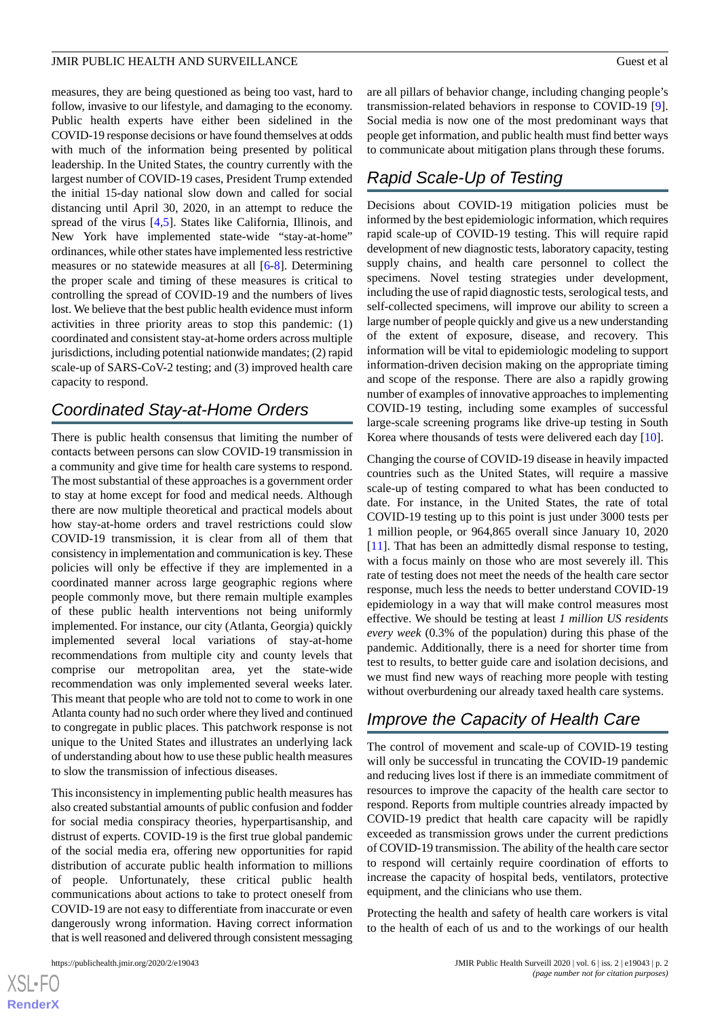#### JMIR PUBLIC HEALTH AND SURVEILLANCE Guest et al. Guest et al.

measures, they are being questioned as being too vast, hard to follow, invasive to our lifestyle, and damaging to the economy. Public health experts have either been sidelined in the COVID-19 response decisions or have found themselves at odds with much of the information being presented by political leadership. In the United States, the country currently with the largest number of COVID-19 cases, President Trump extended the initial 15-day national slow down and called for social distancing until April 30, 2020, in an attempt to reduce the spread of the virus  $[4,5]$  $[4,5]$  $[4,5]$  $[4,5]$ . States like California, Illinois, and New York have implemented state-wide "stay-at-home" ordinances, while other states have implemented less restrictive measures or no statewide measures at all [\[6](#page-2-5)-[8\]](#page-2-6). Determining the proper scale and timing of these measures is critical to controlling the spread of COVID-19 and the numbers of lives lost. We believe that the best public health evidence must inform activities in three priority areas to stop this pandemic: (1) coordinated and consistent stay-at-home orders across multiple jurisdictions, including potential nationwide mandates; (2) rapid scale-up of SARS-CoV-2 testing; and (3) improved health care capacity to respond.

### *Coordinated Stay-at-Home Orders*

There is public health consensus that limiting the number of contacts between persons can slow COVID-19 transmission in a community and give time for health care systems to respond. The most substantial of these approaches is a government order to stay at home except for food and medical needs. Although there are now multiple theoretical and practical models about how stay-at-home orders and travel restrictions could slow COVID-19 transmission, it is clear from all of them that consistency in implementation and communication is key. These policies will only be effective if they are implemented in a coordinated manner across large geographic regions where people commonly move, but there remain multiple examples of these public health interventions not being uniformly implemented. For instance, our city (Atlanta, Georgia) quickly implemented several local variations of stay-at-home recommendations from multiple city and county levels that comprise our metropolitan area, yet the state-wide recommendation was only implemented several weeks later. This meant that people who are told not to come to work in one Atlanta county had no such order where they lived and continued to congregate in public places. This patchwork response is not unique to the United States and illustrates an underlying lack of understanding about how to use these public health measures to slow the transmission of infectious diseases.

This inconsistency in implementing public health measures has also created substantial amounts of public confusion and fodder for social media conspiracy theories, hyperpartisanship, and distrust of experts. COVID-19 is the first true global pandemic of the social media era, offering new opportunities for rapid distribution of accurate public health information to millions of people. Unfortunately, these critical public health communications about actions to take to protect oneself from COVID-19 are not easy to differentiate from inaccurate or even dangerously wrong information. Having correct information that is well reasoned and delivered through consistent messaging

are all pillars of behavior change, including changing people's transmission-related behaviors in response to COVID-19 [[9\]](#page-2-7). Social media is now one of the most predominant ways that people get information, and public health must find better ways to communicate about mitigation plans through these forums.

# *Rapid Scale-Up of Testing*

Decisions about COVID-19 mitigation policies must be informed by the best epidemiologic information, which requires rapid scale-up of COVID-19 testing. This will require rapid development of new diagnostic tests, laboratory capacity, testing supply chains, and health care personnel to collect the specimens. Novel testing strategies under development, including the use of rapid diagnostic tests, serological tests, and self-collected specimens, will improve our ability to screen a large number of people quickly and give us a new understanding of the extent of exposure, disease, and recovery. This information will be vital to epidemiologic modeling to support information-driven decision making on the appropriate timing and scope of the response. There are also a rapidly growing number of examples of innovative approaches to implementing COVID-19 testing, including some examples of successful large-scale screening programs like drive-up testing in South Korea where thousands of tests were delivered each day [\[10](#page-2-8)].

Changing the course of COVID-19 disease in heavily impacted countries such as the United States, will require a massive scale-up of testing compared to what has been conducted to date. For instance, in the United States, the rate of total COVID-19 testing up to this point is just under 3000 tests per 1 million people, or 964,865 overall since January 10, 2020 [[11\]](#page-2-9). That has been an admittedly dismal response to testing, with a focus mainly on those who are most severely ill. This rate of testing does not meet the needs of the health care sector response, much less the needs to better understand COVID-19 epidemiology in a way that will make control measures most effective. We should be testing at least *1 million US residents every week* (0.3% of the population) during this phase of the pandemic. Additionally, there is a need for shorter time from test to results, to better guide care and isolation decisions, and we must find new ways of reaching more people with testing without overburdening our already taxed health care systems.

# *Improve the Capacity of Health Care*

The control of movement and scale-up of COVID-19 testing will only be successful in truncating the COVID-19 pandemic and reducing lives lost if there is an immediate commitment of resources to improve the capacity of the health care sector to respond. Reports from multiple countries already impacted by COVID-19 predict that health care capacity will be rapidly exceeded as transmission grows under the current predictions of COVID-19 transmission. The ability of the health care sector to respond will certainly require coordination of efforts to increase the capacity of hospital beds, ventilators, protective equipment, and the clinicians who use them.

Protecting the health and safety of health care workers is vital to the health of each of us and to the workings of our health

[XSL](http://www.w3.org/Style/XSL)•FO **[RenderX](http://www.renderx.com/)**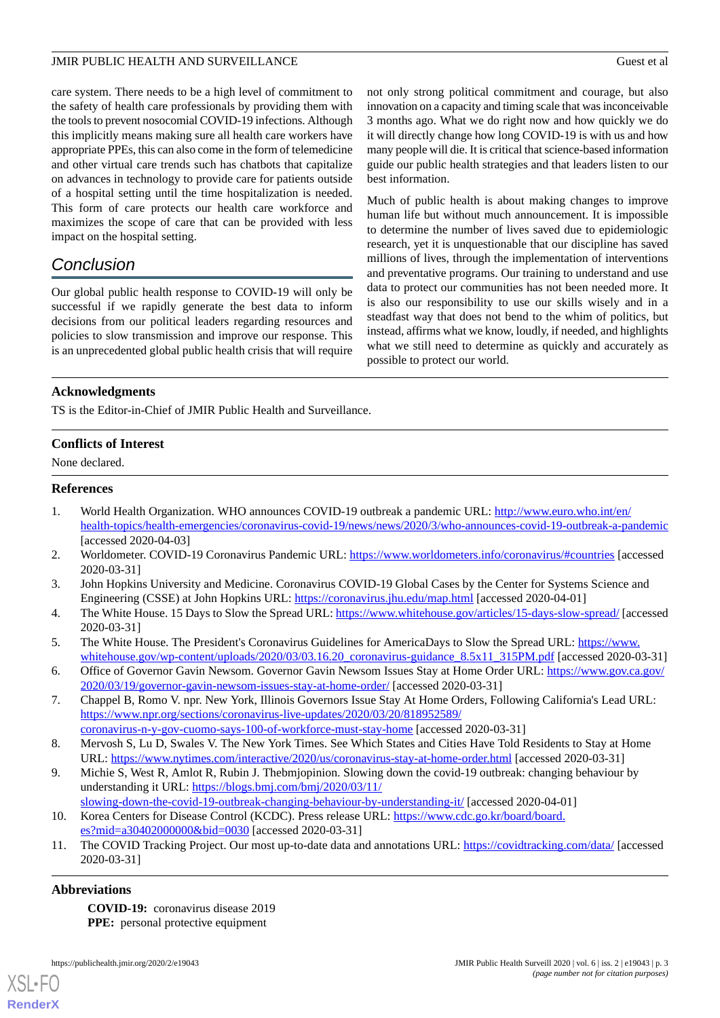#### JMIR PUBLIC HEALTH AND SURVEILLANCE Guest et al. Guest et al.

care system. There needs to be a high level of commitment to the safety of health care professionals by providing them with the tools to prevent nosocomial COVID-19 infections. Although this implicitly means making sure all health care workers have appropriate PPEs, this can also come in the form of telemedicine and other virtual care trends such has chatbots that capitalize on advances in technology to provide care for patients outside of a hospital setting until the time hospitalization is needed. This form of care protects our health care workforce and maximizes the scope of care that can be provided with less impact on the hospital setting.

# *Conclusion*

Our global public health response to COVID-19 will only be successful if we rapidly generate the best data to inform decisions from our political leaders regarding resources and policies to slow transmission and improve our response. This is an unprecedented global public health crisis that will require not only strong political commitment and courage, but also innovation on a capacity and timing scale that was inconceivable 3 months ago. What we do right now and how quickly we do it will directly change how long COVID-19 is with us and how many people will die. It is critical that science-based information guide our public health strategies and that leaders listen to our best information.

Much of public health is about making changes to improve human life but without much announcement. It is impossible to determine the number of lives saved due to epidemiologic research, yet it is unquestionable that our discipline has saved millions of lives, through the implementation of interventions and preventative programs. Our training to understand and use data to protect our communities has not been needed more. It is also our responsibility to use our skills wisely and in a steadfast way that does not bend to the whim of politics, but instead, affirms what we know, loudly, if needed, and highlights what we still need to determine as quickly and accurately as possible to protect our world.

### **Acknowledgments**

TS is the Editor-in-Chief of JMIR Public Health and Surveillance.

### **Conflicts of Interest**

<span id="page-2-0"></span>None declared.

### <span id="page-2-1"></span>**References**

- <span id="page-2-2"></span>1. World Health Organization. WHO announces COVID-19 outbreak a pandemic URL: [http://www.euro.who.int/en/](http://www.euro.who.int/en/health-topics/health-emergencies/coronavirus-covid-19/news/news/2020/3/who-announces-covid-19-outbreak-a-pandemic) [health-topics/health-emergencies/coronavirus-covid-19/news/news/2020/3/who-announces-covid-19-outbreak-a-pandemic](http://www.euro.who.int/en/health-topics/health-emergencies/coronavirus-covid-19/news/news/2020/3/who-announces-covid-19-outbreak-a-pandemic) [accessed 2020-04-03]
- <span id="page-2-3"></span>2. Worldometer. COVID-19 Coronavirus Pandemic URL:<https://www.worldometers.info/coronavirus/#countries> [accessed 2020-03-31]
- <span id="page-2-4"></span>3. John Hopkins University and Medicine. Coronavirus COVID-19 Global Cases by the Center for Systems Science and Engineering (CSSE) at John Hopkins URL: <https://coronavirus.jhu.edu/map.html> [accessed 2020-04-01]
- <span id="page-2-5"></span>4. The White House. 15 Days to Slow the Spread URL:<https://www.whitehouse.gov/articles/15-days-slow-spread/> [accessed 2020-03-31]
- 5. The White House. The President's Coronavirus Guidelines for AmericaDays to Slow the Spread URL: [https://www.](https://www.whitehouse.gov/wp-content/uploads/2020/03/03.16.20_coronavirus-guidance_8.5x11_315PM.pdf) [whitehouse.gov/wp-content/uploads/2020/03/03.16.20\\_coronavirus-guidance\\_8.5x11\\_315PM.pdf](https://www.whitehouse.gov/wp-content/uploads/2020/03/03.16.20_coronavirus-guidance_8.5x11_315PM.pdf) [accessed 2020-03-31]
- <span id="page-2-6"></span>6. Office of Governor Gavin Newsom. Governor Gavin Newsom Issues Stay at Home Order URL: [https://www.gov.ca.gov/](https://www.gov.ca.gov/2020/03/19/governor-gavin-newsom-issues-stay-at-home-order/) [2020/03/19/governor-gavin-newsom-issues-stay-at-home-order/](https://www.gov.ca.gov/2020/03/19/governor-gavin-newsom-issues-stay-at-home-order/) [accessed 2020-03-31]
- <span id="page-2-7"></span>7. Chappel B, Romo V. npr. New York, Illinois Governors Issue Stay At Home Orders, Following California's Lead URL: [https://www.npr.org/sections/coronavirus-live-updates/2020/03/20/818952589/](https://www.npr.org/sections/coronavirus-live-updates/2020/03/20/818952589/coronavirus-n-y-gov-cuomo-says-100-of-workforce-must-stay-home) [coronavirus-n-y-gov-cuomo-says-100-of-workforce-must-stay-home](https://www.npr.org/sections/coronavirus-live-updates/2020/03/20/818952589/coronavirus-n-y-gov-cuomo-says-100-of-workforce-must-stay-home) [accessed 2020-03-31]
- <span id="page-2-8"></span>8. Mervosh S, Lu D, Swales V. The New York Times. See Which States and Cities Have Told Residents to Stay at Home URL: <https://www.nytimes.com/interactive/2020/us/coronavirus-stay-at-home-order.html> [accessed 2020-03-31]
- <span id="page-2-9"></span>9. Michie S, West R, Amlot R, Rubin J. Thebmjopinion. Slowing down the covid-19 outbreak: changing behaviour by understanding it URL: [https://blogs.bmj.com/bmj/2020/03/11/](https://blogs.bmj.com/bmj/2020/03/11/slowing-down-the-covid-19-outbreak-changing-behaviour-by-understanding-it/)
- [slowing-down-the-covid-19-outbreak-changing-behaviour-by-understanding-it/](https://blogs.bmj.com/bmj/2020/03/11/slowing-down-the-covid-19-outbreak-changing-behaviour-by-understanding-it/) [accessed 2020-04-01] 10. Korea Centers for Disease Control (KCDC). Press release URL: [https://www.cdc.go.kr/board/board.](https://www.cdc.go.kr/board/board.es?mid=a30402000000&bid=0030) [es?mid=a30402000000&bid=0030](https://www.cdc.go.kr/board/board.es?mid=a30402000000&bid=0030) [accessed 2020-03-31]
- 11. The COVID Tracking Project. Our most up-to-date data and annotations URL:<https://covidtracking.com/data/> [accessed 2020-03-31]

### **Abbreviations**

[XSL](http://www.w3.org/Style/XSL)•FO **[RenderX](http://www.renderx.com/)**

**COVID-19:** coronavirus disease 2019 **PPE:** personal protective equipment